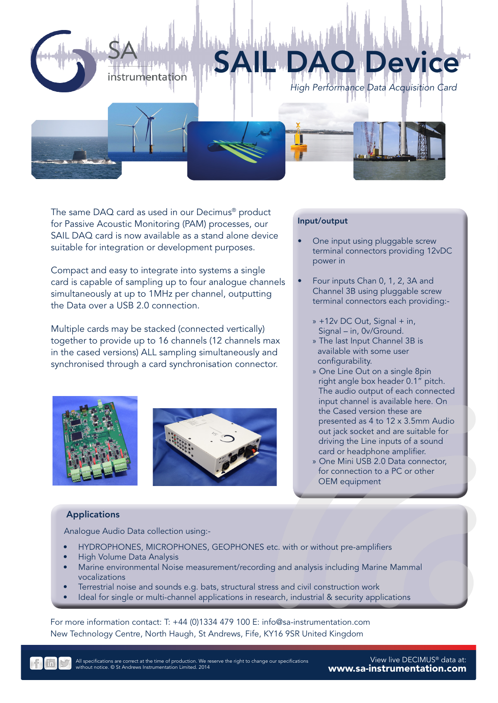



The same DAQ card as used in our Decimus® product for Passive Acoustic Monitoring (PAM) processes, our SAIL DAQ card is now available as a stand alone device suitable for integration or development purposes.

Compact and easy to integrate into systems a single card is capable of sampling up to four analogue channels simultaneously at up to 1MHz per channel, outputting the Data over a USB 2.0 connection.

Multiple cards may be stacked (connected vertically) together to provide up to 16 channels (12 channels max in the cased versions) ALL sampling simultaneously and synchronised through a card synchronisation connector.





## Input/output

- One input using pluggable screw terminal connectors providing 12vDC power in
- Four inputs Chan 0, 1, 2, 3A and Channel 3B using pluggable screw terminal connectors each providing:-
	- » +12v DC Out, Signal + in, Signal – in, 0v/Ground.
	- » The last Input Channel 3B is available with some user configurability.
	- » One Line Out on a single 8pin right angle box header 0.1" pitch. The audio output of each connected input channel is available here. On the Cased version these are presented as 4 to 12 x 3.5mm Audio out jack socket and are suitable for driving the Line inputs of a sound card or headphone amplifier.
	- » One Mini USB 2.0 Data connector, for connection to a PC or other OEM equipment

## Applications

Analogue Audio Data collection using:-

- HYDROPHONES, MICROPHONES, GEOPHONES etc. with or without pre-amplifiers
- High Volume Data Analysis
- Marine environmental Noise measurement/recording and analysis including Marine Mammal vocalizations
- Terrestrial noise and sounds e.g. bats, structural stress and civil construction work
- Ideal for single or multi-channel applications in research, industrial & security applications

For more information contact: T: +44 (0)1334 479 100 E: info@sa-instrumentation.com New Technology Centre, North Haugh, St Andrews, Fife, KY16 9SR United Kingdom